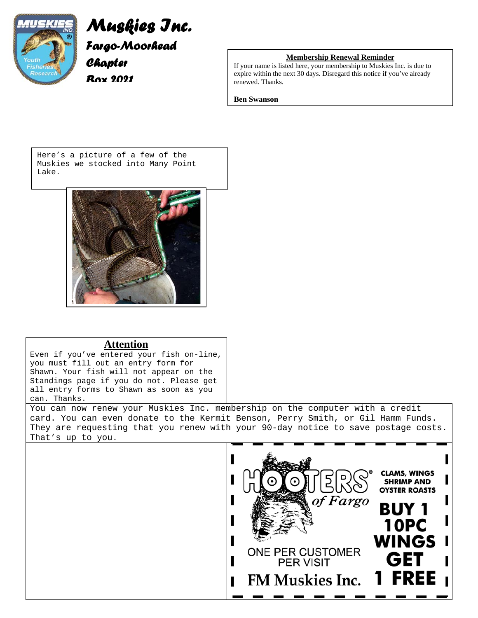

# *Muskies Inc. Fargo-Moorhead Chapter*

*Box 2021* 

### **Membership Renewal Reminder**

If your name is listed here, your membership to Muskies Inc. is due to expire within the next 30 days. Disregard this notice if you've already renewed. Thanks.

#### **Ben Swanson**

Here's a picture of a few of the Muskies we stocked into Many Point Lake.



# **Attention**

Even if you've entered your fish on-line, you must fill out an entry form for Shawn. Your fish will not appear on the Standings page if you do not. Please get all entry forms to Shawn as soon as you can. Thanks.

You can now renew your Muskies Inc. membership on the computer with a credit card. You can even donate to the Kermit Benson, Perry Smith, or Gil Hamm Funds. They are requesting that you renew with your 90-day notice to save postage costs. That's up to you.

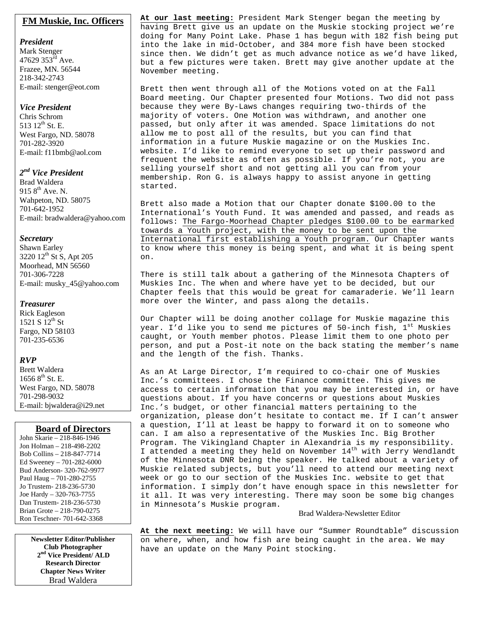### **FM Muskie, Inc. Officers**

#### *President*

Mark Stenger 47629  $353^{\text{rd}}$  Ave. Frazee, MN. 56544 218-342-2743 E-mail: stenger@eot.com

#### *Vice President*

Chris Schrom 513 12<sup>th</sup> St. E. West Fargo, ND. 58078 701-282-3920 E-mail: f11bmb@aol.com

## *2nd Vice President*

Brad Waldera 915  $8^{th}$  Ave. N. Wahpeton, ND. 58075 701-642-1952 E-mail: bradwaldera@yahoo.com

#### *Secretary*

Shawn Earley 3220 12<sup>th</sup> St S, Apt 205 Moorhead, MN 56560 701-306-7228 E-mail: musky\_45@yahoo.com

#### *Treasurer*

Rick Eagleson 1521 S  $12^{th}$  St Fargo, ND 58103 701-235-6536

### *RVP*

Brett Waldera  $16568^{\text{th}}$  St. E. West Fargo, ND. 58078 701-298-9032 E-mail: bjwaldera@i29.net

#### **Board of Directors**

John Skarie – 218-846-1946 Jon Holman – 218-498-2202 Bob Collins – 218-847-7714 Ed Sweeney – 701-282-6000 Bud Anderson- 320-762-9977 Paul Haug – 701-280-2755 Jo Trustem- 218-236-5730 Joe Hardy – 320-763-7755 Dan Trustem- 218-236-5730 Brian Grote – 218-790-0275 Ron Teschner- 701-642-3368

> **Newsletter Editor/Publisher Club Photographer 2nd Vice President/ ALD Research Director Chapter News Writer** Brad Waldera

**At our last meeting:** President Mark Stenger began the meeting by having Brett give us an update on the Muskie stocking project we're doing for Many Point Lake. Phase 1 has begun with 182 fish being put into the lake in mid-October, and 384 more fish have been stocked since then. We didn't get as much advance notice as we'd have liked, but a few pictures were taken. Brett may give another update at the November meeting.

Brett then went through all of the Motions voted on at the Fall Board meeting. Our Chapter presented four Motions. Two did not pass because they were By-Laws changes requiring two-thirds of the majority of voters. One Motion was withdrawn, and another one passed, but only after it was amended. Space limitations do not allow me to post all of the results, but you can find that information in a future Muskie magazine or on the Muskies Inc. website. I'd like to remind everyone to set up their password and frequent the website as often as possible. If you're not, you are selling yourself short and not getting all you can from your membership. Ron G. is always happy to assist anyone in getting started.

Brett also made a Motion that our Chapter donate \$100.00 to the International's Youth Fund. It was amended and passed, and reads as follows: The Fargo-Moorhead Chapter pledges \$100.00 to be earmarked towards a Youth project, with the money to be sent upon the International first establishing a Youth program. Our Chapter wants to know where this money is being spent, and what it is being spent on.

There is still talk about a gathering of the Minnesota Chapters of Muskies Inc. The when and where have yet to be decided, but our Chapter feels that this would be great for camaraderie. We'll learn more over the Winter, and pass along the details.

Our Chapter will be doing another collage for Muskie magazine this year. I'd like you to send me pictures of 50-inch fish,  $1<sup>st</sup>$  Muskies caught, or Youth member photos. Please limit them to one photo per person, and put a Post-it note on the back stating the member's name and the length of the fish. Thanks.

As an At Large Director, I'm required to co-chair one of Muskies Inc.'s committees. I chose the Finance committee. This gives me access to certain information that you may be interested in, or have questions about. If you have concerns or questions about Muskies Inc.'s budget, or other financial matters pertaining to the organization, please don't hesitate to contact me. If I can't answer a question, I'll at least be happy to forward it on to someone who can. I am also a representative of the Muskies Inc. Big Brother Program. The Vikingland Chapter in Alexandria is my responsibility. I attended a meeting they held on November  $14<sup>th</sup>$  with Jerry Wendlandt of the Minnesota DNR being the speaker. He talked about a variety of Muskie related subjects, but you'll need to attend our meeting next week or go to our section of the Muskies Inc. website to get that information. I simply don't have enough space in this newsletter for it all. It was very interesting. There may soon be some big changes in Minnesota's Muskie program.

#### Brad Waldera-Newsletter Editor

**At the next meeting:** We will have our "Summer Roundtable" discussion on where, when, and how fish are being caught in the area. We may have an update on the Many Point stocking.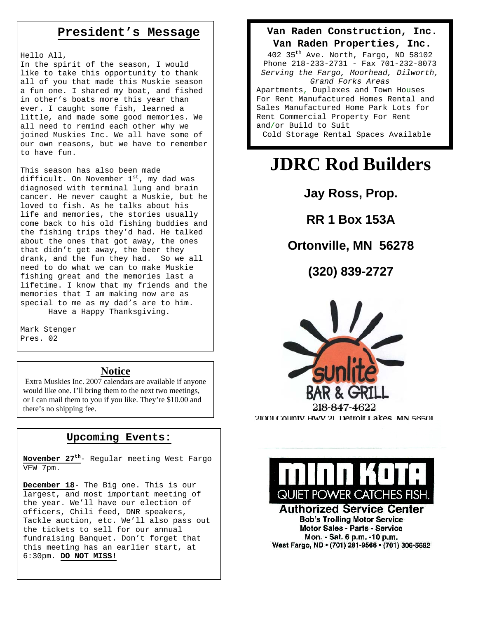# **President's Message**

Hello All,

In the spirit of the season, I would like to take this opportunity to thank all of you that made this Muskie season a fun one. I shared my boat, and fished in other's boats more this year than ever. I caught some fish, learned a little, and made some good memories. We all need to remind each other why we joined Muskies Inc. We all have some of our own reasons, but we have to remember to have fun.

This season has also been made difficult. On November  $1^{st}$ , my dad was diagnosed with terminal lung and brain cancer. He never caught a Muskie, but he loved to fish. As he talks about his life and memories, the stories usually come back to his old fishing buddies and the fishing trips they'd had. He talked about the ones that got away, the ones that didn't get away, the beer they drank, and the fun they had. So we all need to do what we can to make Muskie fishing great and the memories last a lifetime. I know that my friends and the memories that I am making now are as special to me as my dad's are to him. Have a Happy Thanksgiving.

Mark Stenger Pres. 02

# **Notice**

 Extra Muskies Inc. 2007 calendars are available if anyone would like one. I'll bring them to the next two meetings, or I can mail them to you if you like. They're \$10.00 and there's no shipping fee.

# **Upcoming Events:**

**November 27th**- Regular meeting West Fargo VFW 7pm.

 **December 18**- The Big one. This is our largest, and most important meeting of the year. We'll have our election of officers, Chili feed, DNR speakers, Tackle auction, etc. We'll also pass out the tickets to sell for our annual fundraising Banquet. Don't forget that this meeting has an earlier start, at 6:30pm. **DO NOT MISS!**

## **Van Raden Construction, Inc.**

#### **Van Raden Properties, Inc.**

402 35th Ave. North, Fargo, ND 58102 Phone 218-233-2731 - Fax 701-232-8073 *Serving the Fargo, Moorhead, Dilworth, Grand Forks Areas* Apartments, Duplexes and Town Houses For Rent Manufactured Homes Rental and Sales Manufactured Home Park Lots for Rent Commercial Property For Rent and/or Build to Suit Cold Storage Rental Spaces Available

# **JDRC Rod Builders**

**Jay Ross, Prop.** 

**RR 1 Box 153A** 

# **Ortonville, MN 56278**

**(320) 839-2727**



21001 County Hwy.21, Detroit Lakes, MN 56501



#### **Authorized Service Center Bob's Trolling Motor Service Motor Sales - Parts - Service** Mon. - Sat. 6 p.m. -10 p.m. West Fargo, ND · (701) 281-9566 · (701) 306-5692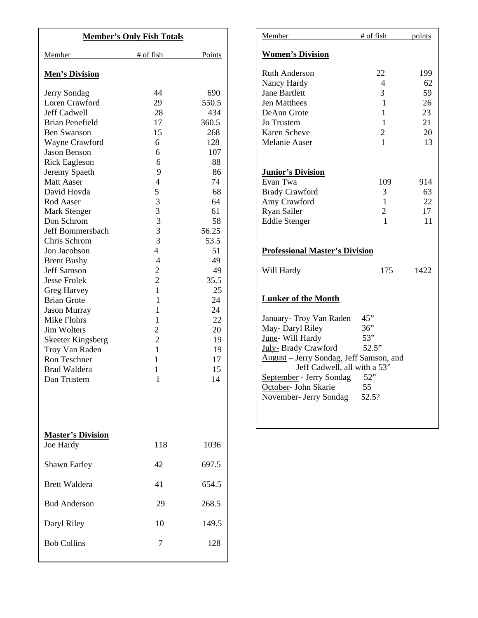| <b>Member's Only Fish Totals</b>      |                |        |
|---------------------------------------|----------------|--------|
| Member                                | # of fish      | Points |
| <b>Men's Division</b>                 |                |        |
| Jerry Sondag                          | 44             | 690    |
| Loren Crawford                        | 29             | 550.5  |
| <b>Jeff Cadwell</b>                   | 28             | 434    |
| <b>Brian Penefield</b>                | 17             | 360.5  |
| <b>Ben Swanson</b>                    | 15             | 268    |
| Wayne Crawford                        | 6              | 128    |
| <b>Jason Benson</b>                   | 6              | 107    |
| <b>Rick Eagleson</b>                  | 6              | 88     |
| Jeremy Spaeth                         | 9              | 86     |
| <b>Matt Aaser</b>                     | $\overline{4}$ | 74     |
| David Hovda                           | 5              | 68     |
| Rod Aaser                             | 3              | 64     |
| Mark Stenger                          | 3              | 61     |
| Don Schrom                            | 3              | 58     |
| Jeff Bommersbach                      | 3              | 56.25  |
| Chris Schrom                          | $\overline{3}$ | 53.5   |
| Jon Jacobson                          | $\overline{4}$ | 51     |
| <b>Brent Bushy</b>                    | $\overline{4}$ | 49     |
| <b>Jeff Samson</b>                    | $\overline{c}$ | 49     |
| <b>Jesse Frolek</b>                   | $\overline{2}$ | 35.5   |
| Greg Harvey                           | $\mathbf{1}$   | 25     |
| <b>Brian Grote</b>                    | $\mathbf{1}$   | 24     |
| <b>Jason Murray</b>                   | $\mathbf{1}$   | 24     |
| Mike Flohrs                           | $\mathbf{1}$   | 22     |
| <b>Jim Wolters</b>                    | $\overline{c}$ | 20     |
| <b>Skeeter Kingsberg</b>              | $\overline{2}$ | 19     |
| Troy Van Raden                        | 1              | 19     |
| Ron Teschner                          | 1              | 17     |
| <b>Brad Waldera</b>                   | 1              | 15     |
| Dan Trustem                           | 1              | 14     |
|                                       |                |        |
| <b>Master's Division</b><br>Joe Hardy | 118            | 1036   |
| Shawn Earley                          | 42             | 697.5  |
| <b>Brett Waldera</b>                  | 41             | 654.5  |
| <b>Bud Anderson</b>                   | 29             | 268.5  |
| Daryl Riley                           | 10             | 149.5  |
|                                       |                |        |

| <u>Member</u>                           | $#$ of fish    | points |  |  |
|-----------------------------------------|----------------|--------|--|--|
| <b>Women's Division</b>                 |                |        |  |  |
| <b>Ruth Anderson</b>                    | 22             | 199    |  |  |
| Nancy Hardy                             | 4              | 62     |  |  |
| <b>Jane Bartlett</b>                    | 3              | 59     |  |  |
| <b>Jen Matthees</b>                     | 1              | 26     |  |  |
| DeAnn Grote                             | 1              | 23     |  |  |
| Jo Trustem                              | 1              | 21     |  |  |
| Karen Scheve                            | $\overline{2}$ | 20     |  |  |
| <b>Melanie Aaser</b>                    | 1              | 13     |  |  |
|                                         |                |        |  |  |
| <b>Junior's Division</b>                |                |        |  |  |
| Evan Twa                                | 109            | 914    |  |  |
| <b>Brady Crawford</b>                   | 3              | 63     |  |  |
| Amy Crawford                            | 1              | 22     |  |  |
| Ryan Sailer                             | $\overline{2}$ | 17     |  |  |
| <b>Eddie Stenger</b>                    | 1              | 11     |  |  |
| <b>Professional Master's Division</b>   |                |        |  |  |
| Will Hardy                              | 175            | 1422   |  |  |
| <b>Lunker of the Month</b>              |                |        |  |  |
| January- Troy Van Raden                 | 45"            |        |  |  |
| May- Daryl Riley                        | 36"            |        |  |  |
| June- Will Hardy                        | 53"            |        |  |  |
| July- Brady Crawford                    | 52.5"          |        |  |  |
| August - Jerry Sondag, Jeff Samson, and |                |        |  |  |
| Jeff Cadwell, all with a 53"            |                |        |  |  |
| September - Jerry Sondag                | 52"            |        |  |  |
| October- John Skarie                    | 55             |        |  |  |
| November- Jerry Sondag                  | 52.5?          |        |  |  |
|                                         |                |        |  |  |